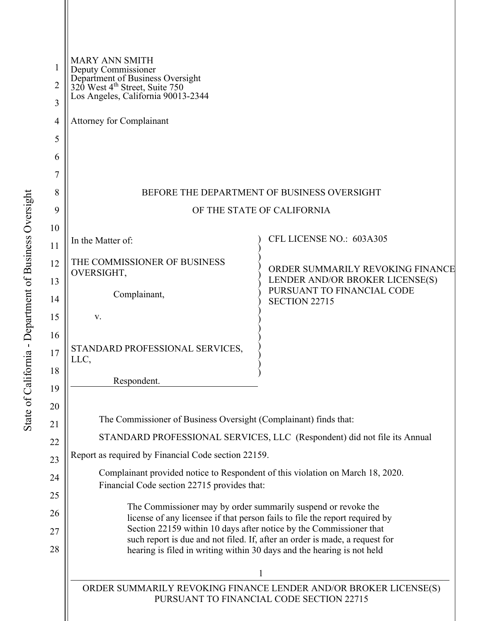| 1        | <b>MARY ANN SMITH</b><br>Deputy Commissioner                                                                                                      |                                                               |
|----------|---------------------------------------------------------------------------------------------------------------------------------------------------|---------------------------------------------------------------|
| 2        | Department of Business Oversight<br>320 West 4 <sup>th</sup> Street, Suite 750<br>Los Angeles, California 90013-2344                              |                                                               |
| 3        |                                                                                                                                                   |                                                               |
| 4        | <b>Attorney for Complainant</b>                                                                                                                   |                                                               |
| 5        |                                                                                                                                                   |                                                               |
| 6        |                                                                                                                                                   |                                                               |
| 7        |                                                                                                                                                   |                                                               |
| 8        | BEFORE THE DEPARTMENT OF BUSINESS OVERSIGHT                                                                                                       |                                                               |
| 9        | OF THE STATE OF CALIFORNIA                                                                                                                        |                                                               |
| 10       | In the Matter of:                                                                                                                                 | CFL LICENSE NO.: 603A305                                      |
| 11       |                                                                                                                                                   |                                                               |
| 12       | THE COMMISSIONER OF BUSINESS<br>OVERSIGHT,                                                                                                        | ORDER SUMMARILY REVOKING FINANCE                              |
| 13       | Complainant,                                                                                                                                      | LENDER AND/OR BROKER LICENSE(S)<br>PURSUANT TO FINANCIAL CODE |
| 14       |                                                                                                                                                   | <b>SECTION 22715</b>                                          |
| 15<br>16 | V.                                                                                                                                                |                                                               |
| $17$     | STANDARD PROFESSIONAL SERVICES,                                                                                                                   |                                                               |
| 18       | LLC,                                                                                                                                              |                                                               |
| 19       | Respondent.                                                                                                                                       |                                                               |
| 20       |                                                                                                                                                   |                                                               |
| 21       | The Commissioner of Business Oversight (Complainant) finds that:                                                                                  |                                                               |
| 22       | STANDARD PROFESSIONAL SERVICES, LLC (Respondent) did not file its Annual                                                                          |                                                               |
| 23       | Report as required by Financial Code section 22159.                                                                                               |                                                               |
| 24       | Complainant provided notice to Respondent of this violation on March 18, 2020.<br>Financial Code section 22715 provides that:                     |                                                               |
| 25       |                                                                                                                                                   |                                                               |
| 26       | The Commissioner may by order summarily suspend or revoke the<br>license of any licensee if that person fails to file the report required by      |                                                               |
| 27       | Section 22159 within 10 days after notice by the Commissioner that<br>such report is due and not filed. If, after an order is made, a request for |                                                               |
| 28       | hearing is filed in writing within 30 days and the hearing is not held                                                                            |                                                               |
|          | 1                                                                                                                                                 |                                                               |
|          | ORDER SUMMARILY REVOKING FINANCE LENDER AND/OR BROKER LICENSE(S)<br>PURSUANT TO FINANCIAL CODE SECTION 22715                                      |                                                               |
|          |                                                                                                                                                   |                                                               |